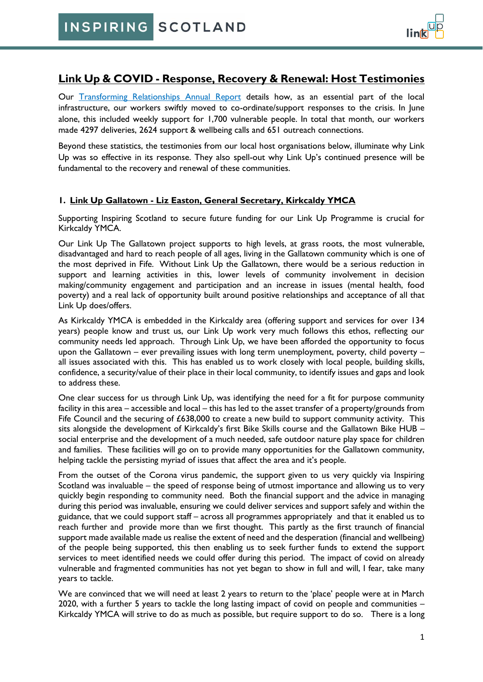# **Link Up & COVID - Response, Recovery & Renewal: Host Testimonies**

Our [Transforming Relationships Annual Report](https://www.inspiringscotland.org.uk/publication/link-up-transforming-relationships/) details how, as an essential part of the local infrastructure, our workers swiftly moved to co-ordinate/support responses to the crisis. In June alone, this included weekly support for 1,700 vulnerable people. In total that month, our workers made 4297 deliveries, 2624 support & wellbeing calls and 651 outreach connections.

Beyond these statistics, the testimonies from our local host organisations below, illuminate why Link Up was so effective in its response. They also spell-out why Link Up's continued presence will be fundamental to the recovery and renewal of these communities.

### **1. Link Up Gallatown - Liz Easton, General Secretary, Kirkcaldy YMCA**

Supporting Inspiring Scotland to secure future funding for our Link Up Programme is crucial for Kirkcaldy YMCA.

Our Link Up The Gallatown project supports to high levels, at grass roots, the most vulnerable, disadvantaged and hard to reach people of all ages, living in the Gallatown community which is one of the most deprived in Fife. Without Link Up the Gallatown, there would be a serious reduction in support and learning activities in this, lower levels of community involvement in decision making/community engagement and participation and an increase in issues (mental health, food poverty) and a real lack of opportunity built around positive relationships and acceptance of all that Link Up does/offers.

As Kirkcaldy YMCA is embedded in the Kirkcaldy area (offering support and services for over 134 years) people know and trust us, our Link Up work very much follows this ethos, reflecting our community needs led approach. Through Link Up, we have been afforded the opportunity to focus upon the Gallatown – ever prevailing issues with long term unemployment, poverty, child poverty – all issues associated with this. This has enabled us to work closely with local people, building skills, confidence, a security/value of their place in their local community, to identify issues and gaps and look to address these.

One clear success for us through Link Up, was identifying the need for a fit for purpose community facility in this area – accessible and local – this has led to the asset transfer of a property/grounds from Fife Council and the securing of £638,000 to create a new build to support community activity. This sits alongside the development of Kirkcaldy's first Bike Skills course and the Gallatown Bike HUB – social enterprise and the development of a much needed, safe outdoor nature play space for children and families. These facilities will go on to provide many opportunities for the Gallatown community, helping tackle the persisting myriad of issues that affect the area and it's people.

From the outset of the Corona virus pandemic, the support given to us very quickly via Inspiring Scotland was invaluable – the speed of response being of utmost importance and allowing us to very quickly begin responding to community need. Both the financial support and the advice in managing during this period was invaluable, ensuring we could deliver services and support safely and within the guidance, that we could support staff – across all programmes appropriately and that it enabled us to reach further and provide more than we first thought. This partly as the first traunch of financial support made available made us realise the extent of need and the desperation (financial and wellbeing) of the people being supported, this then enabling us to seek further funds to extend the support services to meet identified needs we could offer during this period. The impact of covid on already vulnerable and fragmented communities has not yet began to show in full and will, I fear, take many years to tackle.

We are convinced that we will need at least 2 years to return to the 'place' people were at in March 2020, with a further 5 years to tackle the long lasting impact of covid on people and communities – Kirkcaldy YMCA will strive to do as much as possible, but require support to do so. There is a long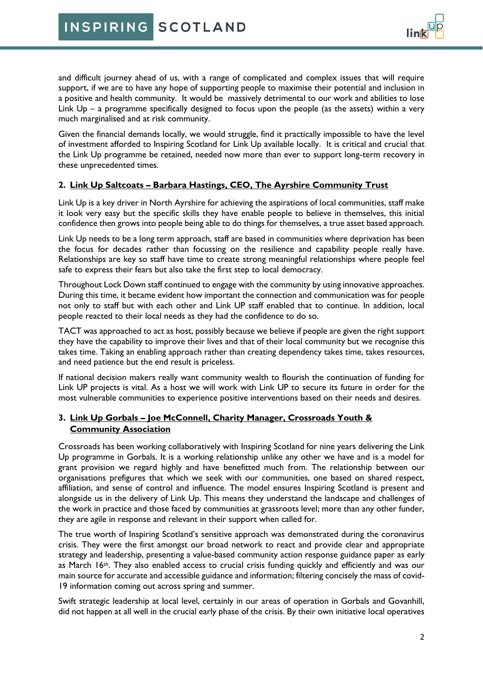and difficult journey ahead of us, with a range of complicated and complex issues that will require support, if we are to have any hope of supporting people to maximise their potential and inclusion in a positive and health community. It would be massively detrimental to our work and abilities to lose Link Up – a programme specifically designed to focus upon the people (as the assets) within a very much marginalised and at risk community.

Given the financial demands locally, we would struggle, find it practically impossible to have the level of investment afforded to Inspiring Scotland for Link Up available locally. It is critical and crucial that the Link Up programme be retained, needed now more than ever to support long-term recovery in these unprecedented times.

### **2. Link Up Saltcoats – Barbara Hastings, CEO, The Ayrshire Community Trust**

Link Up is a key driver in North Ayrshire for achieving the aspirations of local communities, staff make it look very easy but the specific skills they have enable people to believe in themselves, this initial confidence then grows into people being able to do things for themselves, a true asset based approach.

Link Up needs to be a long term approach, staff are based in communities where deprivation has been the focus for decades rather than focussing on the resilience and capability people really have. Relationships are key so staff have time to create strong meaningful relationships where people feel safe to express their fears but also take the first step to local democracy.

Throughout Lock Down staff continued to engage with the community by using innovative approaches. During this time, it became evident how important the connection and communication was for people not only to staff but with each other and Link UP staff enabled that to continue. In addition, local people reacted to their local needs as they had the confidence to do so.

TACT was approached to act as host, possibly because we believe if people are given the right support they have the capability to improve their lives and that of their local community but we recognise this takes time. Taking an enabling approach rather than creating dependency takes time, takes resources, and need patience but the end result is priceless.

If national decision makers really want community wealth to flourish the continuation of funding for Link UP projects is vital. As a host we will work with Link UP to secure its future in order for the most vulnerable communities to experience positive interventions based on their needs and desires.

### **3. Link Up Gorbals – Joe McConnell, Charity Manager, Crossroads Youth & Community Association**

Crossroads has been working collaboratively with Inspiring Scotland for nine years delivering the Link Up programme in Gorbals. It is a working relationship unlike any other we have and is a model for grant provision we regard highly and have benefitted much from. The relationship between our organisations prefigures that which we seek with our communities, one based on shared respect, affiliation, and sense of control and influence. The model ensures Inspiring Scotland is present and alongside us in the delivery of Link Up. This means they understand the landscape and challenges of the work in practice and those faced by communities at grassroots level; more than any other funder, they are agile in response and relevant in their support when called for.

The true worth of Inspiring Scotland's sensitive approach was demonstrated during the coronavirus crisis. They were the first amongst our broad network to react and provide clear and appropriate strategy and leadership, presenting a value-based community action response guidance paper as early as March  $16$ <sup>th</sup>. They also enabled access to crucial crisis funding quickly and efficiently and was our main source for accurate and accessible guidance and information; filtering concisely the mass of covid-19 information coming out across spring and summer.

Swift strategic leadership at local level, certainly in our areas of operation in Gorbals and Govanhill, did not happen at all well in the crucial early phase of the crisis. By their own initiative local operatives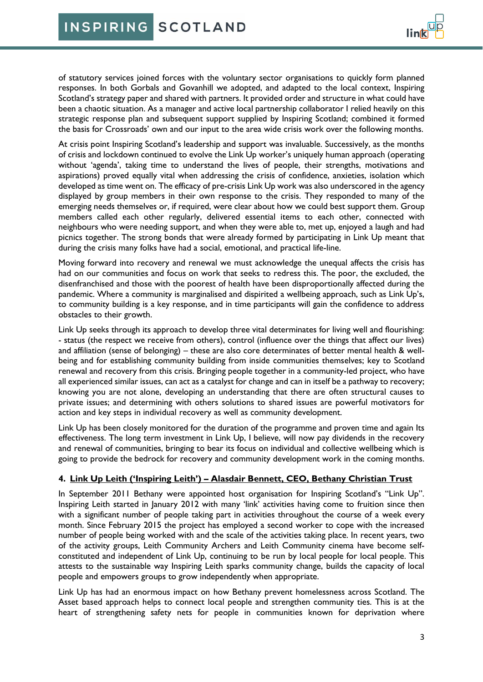of statutory services joined forces with the voluntary sector organisations to quickly form planned responses. In both Gorbals and Govanhill we adopted, and adapted to the local context, Inspiring Scotland's strategy paper and shared with partners. It provided order and structure in what could have been a chaotic situation. As a manager and active local partnership collaborator I relied heavily on this strategic response plan and subsequent support supplied by Inspiring Scotland; combined it formed the basis for Crossroads' own and our input to the area wide crisis work over the following months.

At crisis point Inspiring Scotland's leadership and support was invaluable. Successively, as the months of crisis and lockdown continued to evolve the Link Up worker's uniquely human approach (operating without 'agenda', taking time to understand the lives of people, their strengths, motivations and aspirations) proved equally vital when addressing the crisis of confidence, anxieties, isolation which developed as time went on. The efficacy of pre-crisis Link Up work was also underscored in the agency displayed by group members in their own response to the crisis. They responded to many of the emerging needs themselves or, if required, were clear about how we could best support them. Group members called each other regularly, delivered essential items to each other, connected with neighbours who were needing support, and when they were able to, met up, enjoyed a laugh and had picnics together. The strong bonds that were already formed by participating in Link Up meant that during the crisis many folks have had a social, emotional, and practical life-line.

Moving forward into recovery and renewal we must acknowledge the unequal affects the crisis has had on our communities and focus on work that seeks to redress this. The poor, the excluded, the disenfranchised and those with the poorest of health have been disproportionally affected during the pandemic. Where a community is marginalised and dispirited a wellbeing approach, such as Link Up's, to community building is a key response, and in time participants will gain the confidence to address obstacles to their growth.

Link Up seeks through its approach to develop three vital determinates for living well and flourishing: - status (the respect we receive from others), control (influence over the things that affect our lives) and affiliation (sense of belonging) – these are also core determinates of better mental health & wellbeing and for establishing community building from inside communities themselves; key to Scotland renewal and recovery from this crisis. Bringing people together in a community-led project, who have all experienced similar issues, can act as a catalyst for change and can in itself be a pathway to recovery; knowing you are not alone, developing an understanding that there are often structural causes to private issues; and determining with others solutions to shared issues are powerful motivators for action and key steps in individual recovery as well as community development.

Link Up has been closely monitored for the duration of the programme and proven time and again Its effectiveness. The long term investment in Link Up, I believe, will now pay dividends in the recovery and renewal of communities, bringing to bear its focus on individual and collective wellbeing which is going to provide the bedrock for recovery and community development work in the coming months.

# **4. Link Up Leith ('Inspiring Leith') – Alasdair Bennett, CEO, Bethany Christian Trust**

In September 2011 Bethany were appointed host organisation for Inspiring Scotland's "Link Up". Inspiring Leith started in January 2012 with many 'link' activities having come to fruition since then with a significant number of people taking part in activities throughout the course of a week every month. Since February 2015 the project has employed a second worker to cope with the increased number of people being worked with and the scale of the activities taking place. In recent years, two of the activity groups, Leith Community Archers and Leith Community cinema have become selfconstituted and independent of Link Up, continuing to be run by local people for local people. This attests to the sustainable way Inspiring Leith sparks community change, builds the capacity of local people and empowers groups to grow independently when appropriate.

Link Up has had an enormous impact on how Bethany prevent homelessness across Scotland. The Asset based approach helps to connect local people and strengthen community ties. This is at the heart of strengthening safety nets for people in communities known for deprivation where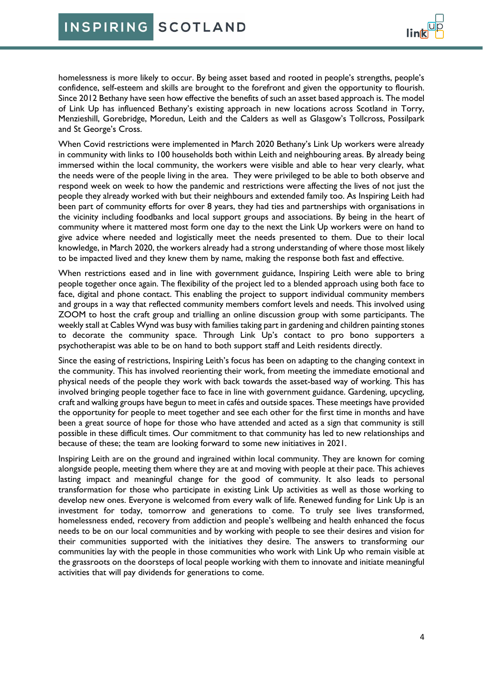homelessness is more likely to occur. By being asset based and rooted in people's strengths, people's confidence, self-esteem and skills are brought to the forefront and given the opportunity to flourish. Since 2012 Bethany have seen how effective the benefits of such an asset based approach is. The model of Link Up has influenced Bethany's existing approach in new locations across Scotland in Torry, Menzieshill, Gorebridge, Moredun, Leith and the Calders as well as Glasgow's Tollcross, Possilpark and St George's Cross.

When Covid restrictions were implemented in March 2020 Bethany's Link Up workers were already in community with links to 100 households both within Leith and neighbouring areas. By already being immersed within the local community, the workers were visible and able to hear very clearly, what the needs were of the people living in the area. They were privileged to be able to both observe and respond week on week to how the pandemic and restrictions were affecting the lives of not just the people they already worked with but their neighbours and extended family too. As Inspiring Leith had been part of community efforts for over 8 years, they had ties and partnerships with organisations in the vicinity including foodbanks and local support groups and associations. By being in the heart of community where it mattered most form one day to the next the Link Up workers were on hand to give advice where needed and logistically meet the needs presented to them. Due to their local knowledge, in March 2020, the workers already had a strong understanding of where those most likely to be impacted lived and they knew them by name, making the response both fast and effective.

When restrictions eased and in line with government guidance, Inspiring Leith were able to bring people together once again. The flexibility of the project led to a blended approach using both face to face, digital and phone contact. This enabling the project to support individual community members and groups in a way that reflected community members comfort levels and needs. This involved using ZOOM to host the craft group and trialling an online discussion group with some participants. The weekly stall at Cables Wynd was busy with families taking part in gardening and children painting stones to decorate the community space. Through Link Up's contact to pro bono supporters a psychotherapist was able to be on hand to both support staff and Leith residents directly.

Since the easing of restrictions, Inspiring Leith's focus has been on adapting to the changing context in the community. This has involved reorienting their work, from meeting the immediate emotional and physical needs of the people they work with back towards the asset-based way of working. This has involved bringing people together face to face in line with government guidance. Gardening, upcycling, craft and walking groups have begun to meet in cafés and outside spaces. These meetings have provided the opportunity for people to meet together and see each other for the first time in months and have been a great source of hope for those who have attended and acted as a sign that community is still possible in these difficult times. Our commitment to that community has led to new relationships and because of these; the team are looking forward to some new initiatives in 2021.

Inspiring Leith are on the ground and ingrained within local community. They are known for coming alongside people, meeting them where they are at and moving with people at their pace. This achieves lasting impact and meaningful change for the good of community. It also leads to personal transformation for those who participate in existing Link Up activities as well as those working to develop new ones. Everyone is welcomed from every walk of life. Renewed funding for Link Up is an investment for today, tomorrow and generations to come. To truly see lives transformed, homelessness ended, recovery from addiction and people's wellbeing and health enhanced the focus needs to be on our local communities and by working with people to see their desires and vision for their communities supported with the initiatives they desire. The answers to transforming our communities lay with the people in those communities who work with Link Up who remain visible at the grassroots on the doorsteps of local people working with them to innovate and initiate meaningful activities that will pay dividends for generations to come.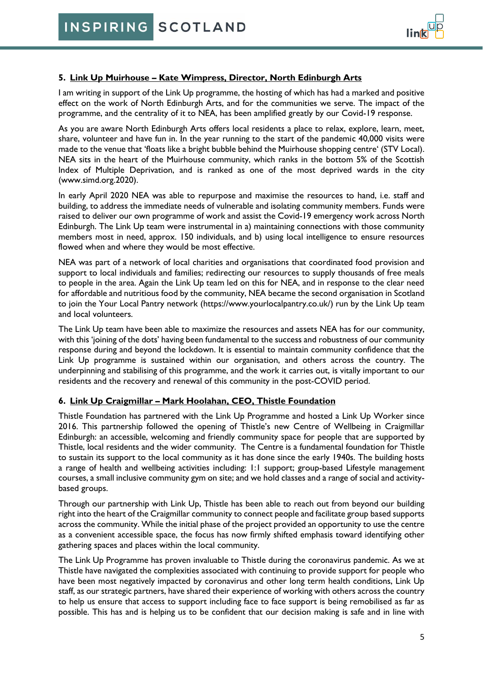#### **5. Link Up Muirhouse – Kate Wimpress, Director, North Edinburgh Arts**

I am writing in support of the Link Up programme, the hosting of which has had a marked and positive effect on the work of North Edinburgh Arts, and for the communities we serve. The impact of the programme, and the centrality of it to NEA, has been amplified greatly by our Covid-19 response.

As you are aware North Edinburgh Arts offers local residents a place to relax, explore, learn, meet, share, volunteer and have fun in. In the year running to the start of the pandemic 40,000 visits were made to the venue that 'floats like a bright bubble behind the Muirhouse shopping centre' (STV Local). NEA sits in the heart of the Muirhouse community, which ranks in the bottom 5% of the Scottish Index of Multiple Deprivation, and is ranked as one of the most deprived wards in the city [\(www.simd.org.2020\)](http://www.simd.org.2020/).

In early April 2020 NEA was able to repurpose and maximise the resources to hand, i.e. staff and building, to address the immediate needs of vulnerable and isolating community members. Funds were raised to deliver our own programme of work and assist the Covid-19 emergency work across North Edinburgh. The Link Up team were instrumental in a) maintaining connections with those community members most in need, approx. 150 individuals, and b) using local intelligence to ensure resources flowed when and where they would be most effective.

NEA was part of a network of local charities and organisations that coordinated food provision and support to local individuals and families; redirecting our resources to supply thousands of free meals to people in the area. Again the Link Up team led on this for NEA, and in response to the clear need for affordable and nutritious food by the community, NEA became the second organisation in Scotland to join the Your Local Pantry network [\(https://www.yourlocalpantry.co.uk/\)](https://www.yourlocalpantry.co.uk/) run by the Link Up team and local volunteers.

The Link Up team have been able to maximize the resources and assets NEA has for our community, with this 'joining of the dots' having been fundamental to the success and robustness of our community response during and beyond the lockdown. It is essential to maintain community confidence that the Link Up programme is sustained within our organisation, and others across the country. The underpinning and stabilising of this programme, and the work it carries out, is vitally important to our residents and the recovery and renewal of this community in the post-COVID period.

# **6. Link Up Craigmillar – Mark Hoolahan, CEO, Thistle Foundation**

Thistle Foundation has partnered with the Link Up Programme and hosted a Link Up Worker since 2016. This partnership followed the opening of Thistle's new Centre of Wellbeing in Craigmillar Edinburgh: an accessible, welcoming and friendly community space for people that are supported by Thistle, local residents and the wider community. The Centre is a fundamental foundation for Thistle to sustain its support to the local community as it has done since the early 1940s. The building hosts a range of health and wellbeing activities including: 1:1 support; group-based Lifestyle management courses, a small inclusive community gym on site; and we hold classes and a range of social and activitybased groups.

Through our partnership with Link Up, Thistle has been able to reach out from beyond our building right into the heart of the Craigmillar community to connect people and facilitate group based supports across the community. While the initial phase of the project provided an opportunity to use the centre as a convenient accessible space, the focus has now firmly shifted emphasis toward identifying other gathering spaces and places within the local community.

The Link Up Programme has proven invaluable to Thistle during the coronavirus pandemic. As we at Thistle have navigated the complexities associated with continuing to provide support for people who have been most negatively impacted by coronavirus and other long term health conditions, Link Up staff, as our strategic partners, have shared their experience of working with others across the country to help us ensure that access to support including face to face support is being remobilised as far as possible. This has and is helping us to be confident that our decision making is safe and in line with